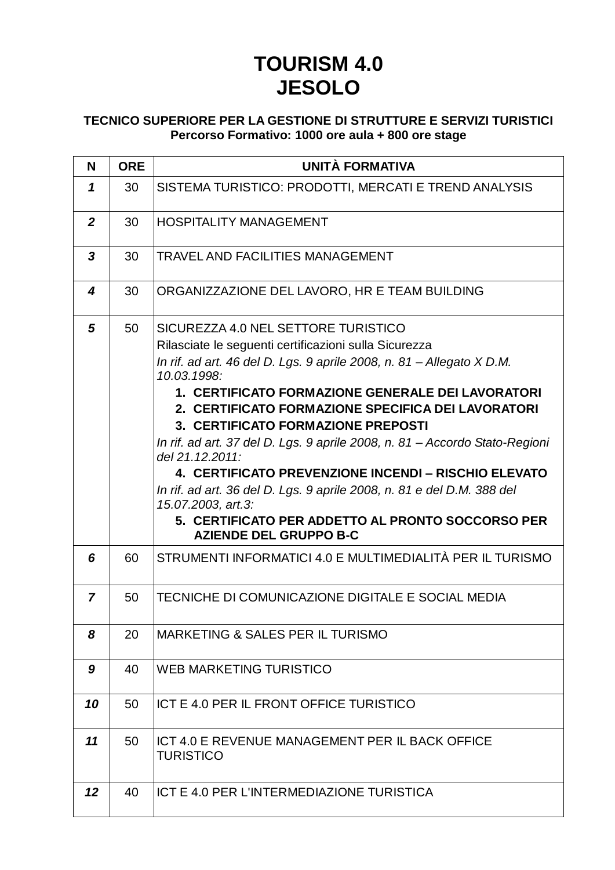## **TOURISM 4.0 JESOLO**

## **TECNICO SUPERIORE PER LA GESTIONE DI STRUTTURE E SERVIZI TURISTICI Percorso Formativo: 1000 ore aula + 800 ore stage**

| N              | <b>ORE</b> | <b>UNITÀ FORMATIVA</b>                                                                                                                                                                                                                                                                                                                                                                                                                                                                                                                                                                                                                                                                |
|----------------|------------|---------------------------------------------------------------------------------------------------------------------------------------------------------------------------------------------------------------------------------------------------------------------------------------------------------------------------------------------------------------------------------------------------------------------------------------------------------------------------------------------------------------------------------------------------------------------------------------------------------------------------------------------------------------------------------------|
| 1              | 30         | SISTEMA TURISTICO: PRODOTTI, MERCATI E TREND ANALYSIS                                                                                                                                                                                                                                                                                                                                                                                                                                                                                                                                                                                                                                 |
| $\overline{2}$ | 30         | <b>HOSPITALITY MANAGEMENT</b>                                                                                                                                                                                                                                                                                                                                                                                                                                                                                                                                                                                                                                                         |
| 3              | 30         | <b>TRAVEL AND FACILITIES MANAGEMENT</b>                                                                                                                                                                                                                                                                                                                                                                                                                                                                                                                                                                                                                                               |
| 4              | 30         | ORGANIZZAZIONE DEL LAVORO, HR E TEAM BUILDING                                                                                                                                                                                                                                                                                                                                                                                                                                                                                                                                                                                                                                         |
| 5              | 50         | SICUREZZA 4.0 NEL SETTORE TURISTICO<br>Rilasciate le seguenti certificazioni sulla Sicurezza<br>In rif. ad art. 46 del D. Lgs. 9 aprile 2008, n. 81 – Allegato X D.M.<br>10.03.1998:<br>1. CERTIFICATO FORMAZIONE GENERALE DEI LAVORATORI<br>2. CERTIFICATO FORMAZIONE SPECIFICA DEI LAVORATORI<br>3. CERTIFICATO FORMAZIONE PREPOSTI<br>In rif. ad art. 37 del D. Lgs. 9 aprile 2008, n. 81 - Accordo Stato-Regioni<br>del 21.12.2011:<br>4. CERTIFICATO PREVENZIONE INCENDI - RISCHIO ELEVATO<br>In rif. ad art. 36 del D. Lgs. 9 aprile 2008, n. 81 e del D.M. 388 del<br>15.07.2003, art.3:<br>5. CERTIFICATO PER ADDETTO AL PRONTO SOCCORSO PER<br><b>AZIENDE DEL GRUPPO B-C</b> |
| 6              | 60         | STRUMENTI INFORMATICI 4.0 E MULTIMEDIALITÀ PER IL TURISMO                                                                                                                                                                                                                                                                                                                                                                                                                                                                                                                                                                                                                             |
| 7              | 50         | TECNICHE DI COMUNICAZIONE DIGITALE E SOCIAL MEDIA                                                                                                                                                                                                                                                                                                                                                                                                                                                                                                                                                                                                                                     |
| 8              | 20         | MARKETING & SALES PER IL TURISMO                                                                                                                                                                                                                                                                                                                                                                                                                                                                                                                                                                                                                                                      |
| 9              | 40         | WEB MARKETING TURISTICO                                                                                                                                                                                                                                                                                                                                                                                                                                                                                                                                                                                                                                                               |
| 10             | 50         | ICT E 4.0 PER IL FRONT OFFICE TURISTICO                                                                                                                                                                                                                                                                                                                                                                                                                                                                                                                                                                                                                                               |
| 11             | 50         | ICT 4.0 E REVENUE MANAGEMENT PER IL BACK OFFICE<br><b>TURISTICO</b>                                                                                                                                                                                                                                                                                                                                                                                                                                                                                                                                                                                                                   |
| 12             | 40         | ICT E 4.0 PER L'INTERMEDIAZIONE TURISTICA                                                                                                                                                                                                                                                                                                                                                                                                                                                                                                                                                                                                                                             |